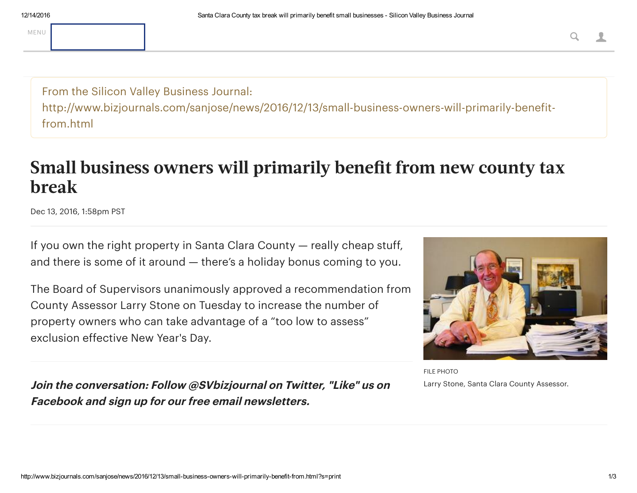From the Silicon Valley Business Journal: http://www.bizjournals.com/sanjose/news/2016/12/13/small-business-owners-will-primarily-benefitfrom.html

## Small business owners will primarily benefit from new county tax break

Dec 13, 2016, 1:58pm PST

If you own the right property in Santa Clara County — really cheap stuff, and there is some of it around — there's a holiday bonus coming to you.

The Board of Supervisors unanimously approved a recommendation from County Assessor [Larry Stone](http://www.bizjournals.com/sanjose/search/results?q=Larry%20Stone) on Tuesday to increase the number of property owners who can take advantage of a "too low to assess" exclusion effective New Year's Day.



FILE PHOTO Larry Stone, Santa Clara County Assessor.

Join the conversation: Follow [@SVbizjournal](https://twitter.com/SVbizjournal) on Twitter, "Like" us on [Facebook](https://www.facebook.com/SVBizjournal/) and [sign up for our free email newsletters.](http://www.bizjournals.com/sanjose/promo/sanjose-ampm)